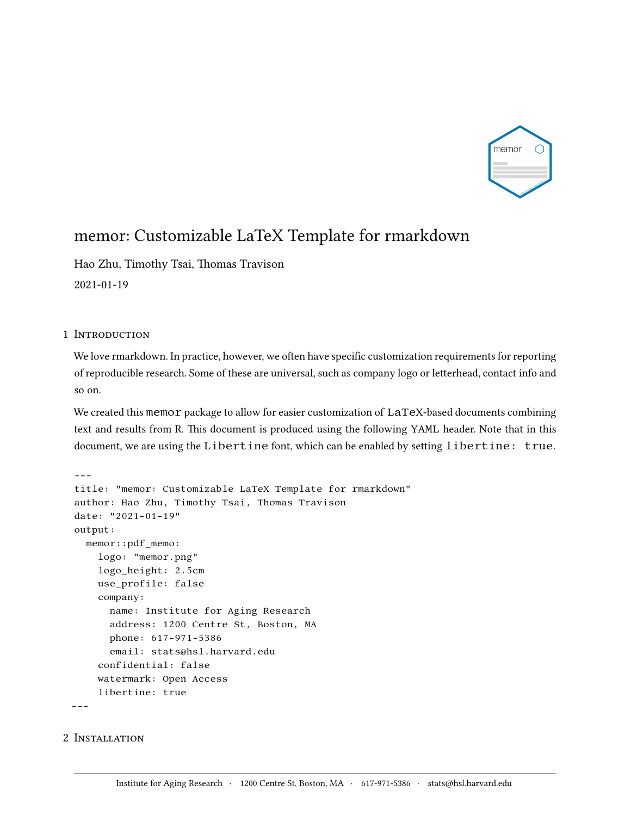

## memor: Customizable LaTeX Template for rmarkdown

Hao Zhu, Timothy Tsai, Thomas Travison 2021-01-19

## 1 INTRODUCTION

We love rmarkdown. In practice, however, we often have specific customization requirements for reporting of reproducible research. Some of these are universal, such as company logo or letterhead, contact info and so on.

We created this memor package to allow for easier customization of LaTeX-based documents combining text and results from R. This document is produced using the following YAML header. Note that in this document, we are using the Libertine font, which can be enabled by setting libertine: true.

```
---
title: "memor: Customizable LaTeX Template for rmarkdown"
author: Hao Zhu, Timothy Tsai, Thomas Travison
date: "2021-01-19"
output:
  memor::pdf_memo:
    logo: "memor.png"
    logo_height: 2.5cm
    use_profile: false
    company:
      name: Institute for Aging Research
      address: 1200 Centre St, Boston, MA
      phone: 617-971-5386
      email: stats@hsl.harvard.edu
    confidential: false
    watermark: Open Access
    libertine: true
---
```
## 2 Installation